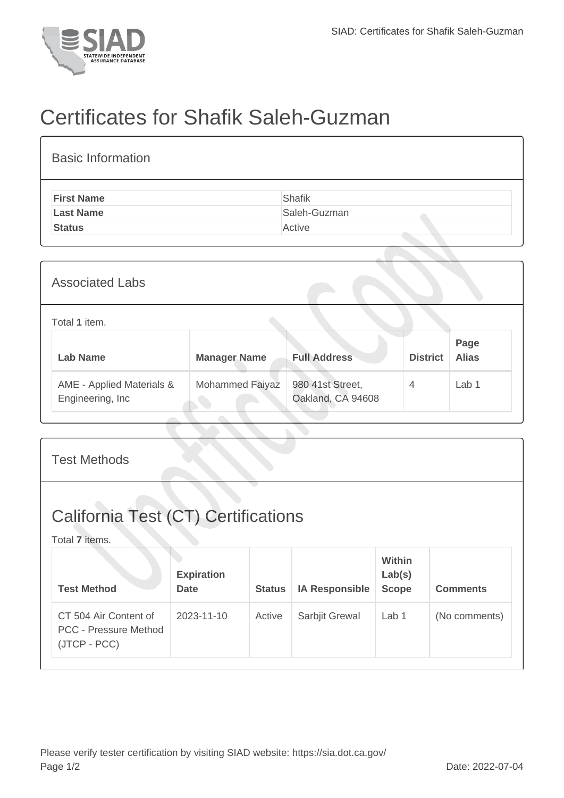

## Certificates for Shafik Saleh-Guzman

| <b>Basic Information</b> |               |
|--------------------------|---------------|
| <b>First Name</b>        | <b>Shafik</b> |
| <b>Last Name</b>         | Saleh-Guzman  |
| <b>Status</b>            | Active        |
|                          |               |
| <b>Associated Labs</b>   |               |
| Total 1 item.            | <b>Dono</b>   |

| Lab Name                                       | <b>Manager Name</b>    | <b>Full Address</b>                   | <b>District</b> | Page<br><b>Alias</b> |
|------------------------------------------------|------------------------|---------------------------------------|-----------------|----------------------|
| AME - Applied Materials &<br>Engineering, Inc. | <b>Mohammed Faiyaz</b> | 980 41st Street,<br>Oakland, CA 94608 | 4               | Lab 1                |
|                                                |                        |                                       |                 |                      |

| <b>Test Methods</b>                                                   |                                  |               |                       |                                         |                 |  |
|-----------------------------------------------------------------------|----------------------------------|---------------|-----------------------|-----------------------------------------|-----------------|--|
| <b>California Test (CT) Certifications</b><br>Total 7 items.          |                                  |               |                       |                                         |                 |  |
| <b>Test Method</b>                                                    | <b>Expiration</b><br><b>Date</b> | <b>Status</b> | <b>IA Responsible</b> | <b>Within</b><br>Lab(s)<br><b>Scope</b> | <b>Comments</b> |  |
| CT 504 Air Content of<br><b>PCC - Pressure Method</b><br>(JTCP - PCC) | 2023-11-10                       | Active        | Sarbjit Grewal        | Lab 1                                   | (No comments)   |  |